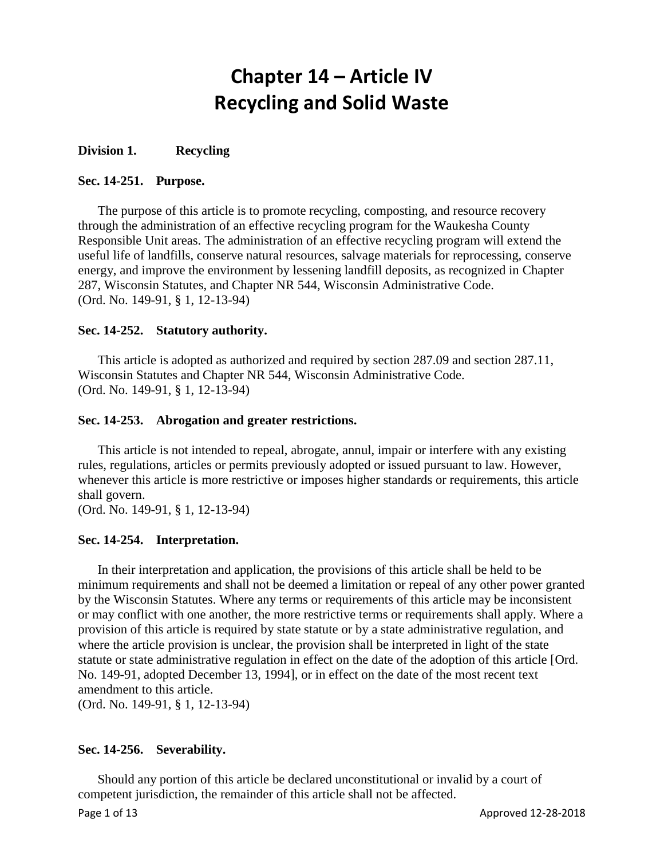# **Chapter 14 – Article IV Recycling and Solid Waste**

# **Division 1. Recycling**

# **Sec. 14-251. Purpose.**

The purpose of this article is to promote recycling, composting, and resource recovery through the administration of an effective recycling program for the Waukesha County Responsible Unit areas. The administration of an effective recycling program will extend the useful life of landfills, conserve natural resources, salvage materials for reprocessing, conserve energy, and improve the environment by lessening landfill deposits, as recognized in Chapter 287, Wisconsin Statutes, and Chapter NR 544, Wisconsin Administrative Code. (Ord. No. 149-91, § 1, 12-13-94)

# **Sec. 14-252. Statutory authority.**

This article is adopted as authorized and required by section 287.09 and section 287.11, Wisconsin Statutes and Chapter NR 544, Wisconsin Administrative Code. (Ord. No. 149-91, § 1, 12-13-94)

#### **Sec. 14-253. Abrogation and greater restrictions.**

This article is not intended to repeal, abrogate, annul, impair or interfere with any existing rules, regulations, articles or permits previously adopted or issued pursuant to law. However, whenever this article is more restrictive or imposes higher standards or requirements, this article shall govern.

(Ord. No. 149-91, § 1, 12-13-94)

# **Sec. 14-254. Interpretation.**

In their interpretation and application, the provisions of this article shall be held to be minimum requirements and shall not be deemed a limitation or repeal of any other power granted by the Wisconsin Statutes. Where any terms or requirements of this article may be inconsistent or may conflict with one another, the more restrictive terms or requirements shall apply. Where a provision of this article is required by state statute or by a state administrative regulation, and where the article provision is unclear, the provision shall be interpreted in light of the state statute or state administrative regulation in effect on the date of the adoption of this article [Ord. No. 149-91, adopted December 13, 1994], or in effect on the date of the most recent text amendment to this article.

(Ord. No. 149-91, § 1, 12-13-94)

# **Sec. 14-256. Severability.**

Should any portion of this article be declared unconstitutional or invalid by a court of competent jurisdiction, the remainder of this article shall not be affected.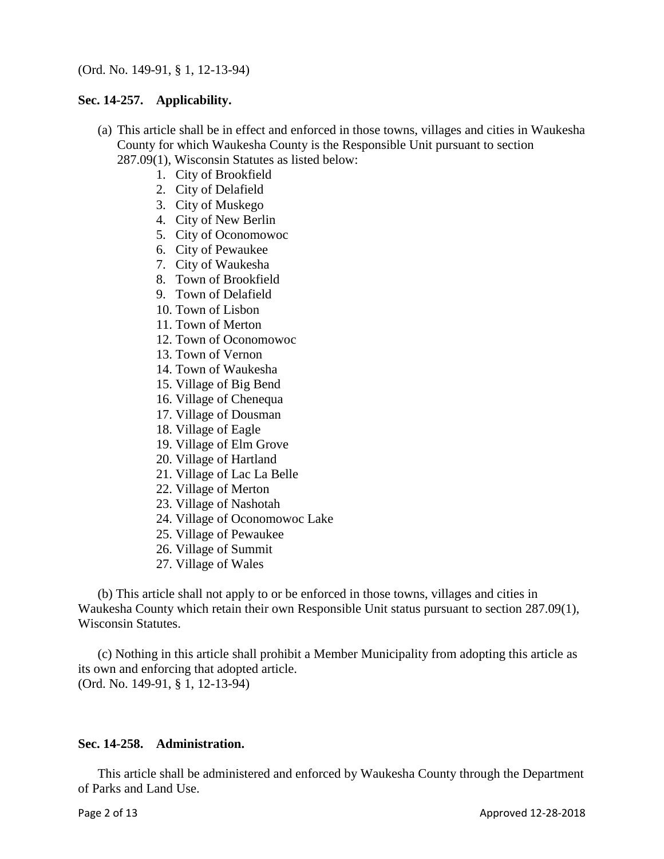### **Sec. 14-257. Applicability.**

- (a) This article shall be in effect and enforced in those towns, villages and cities in Waukesha County for which Waukesha County is the Responsible Unit pursuant to section
	- 287.09(1), Wisconsin Statutes as listed below:
		- 1. City of Brookfield
		- 2. City of Delafield
		- 3. City of Muskego
		- 4. City of New Berlin
		- 5. City of Oconomowoc
		- 6. City of Pewaukee
		- 7. City of Waukesha
		- 8. Town of Brookfield
		- 9. Town of Delafield
		- 10. Town of Lisbon
		- 11. Town of Merton
		- 12. Town of Oconomowoc
		- 13. Town of Vernon
		- 14. Town of Waukesha
		- 15. Village of Big Bend
		- 16. Village of Chenequa
		- 17. Village of Dousman
		- 18. Village of Eagle
		- 19. Village of Elm Grove
		- 20. Village of Hartland
		- 21. Village of Lac La Belle
		- 22. Village of Merton
		- 23. Village of Nashotah
		- 24. Village of Oconomowoc Lake
		- 25. Village of Pewaukee
		- 26. Village of Summit
		- 27. Village of Wales

(b) This article shall not apply to or be enforced in those towns, villages and cities in Waukesha County which retain their own Responsible Unit status pursuant to section 287.09(1), Wisconsin Statutes.

(c) Nothing in this article shall prohibit a Member Municipality from adopting this article as its own and enforcing that adopted article. (Ord. No. 149-91, § 1, 12-13-94)

# **Sec. 14-258. Administration.**

This article shall be administered and enforced by Waukesha County through the Department of Parks and Land Use.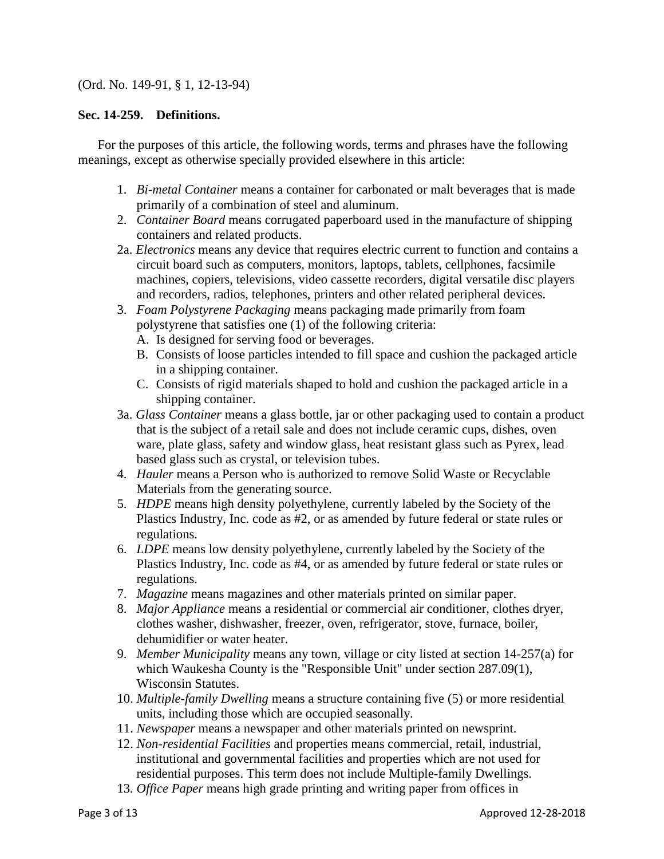# (Ord. No. 149-91, § 1, 12-13-94)

#### **Sec. 14-259. Definitions.**

For the purposes of this article, the following words, terms and phrases have the following meanings, except as otherwise specially provided elsewhere in this article:

- 1. *Bi-metal Container* means a container for carbonated or malt beverages that is made primarily of a combination of steel and aluminum.
- 2. *Container Board* means corrugated paperboard used in the manufacture of shipping containers and related products.
- 2a. *Electronics* means any device that requires electric current to function and contains a circuit board such as computers, monitors, laptops, tablets, cellphones, facsimile machines, copiers, televisions, video cassette recorders, digital versatile disc players and recorders, radios, telephones, printers and other related peripheral devices.
- 3. *Foam Polystyrene Packaging* means packaging made primarily from foam polystyrene that satisfies one (1) of the following criteria:
	- A. Is designed for serving food or beverages.
	- B. Consists of loose particles intended to fill space and cushion the packaged article in a shipping container.
	- C. Consists of rigid materials shaped to hold and cushion the packaged article in a shipping container.
- 3a. *Glass Container* means a glass bottle, jar or other packaging used to contain a product that is the subject of a retail sale and does not include ceramic cups, dishes, oven ware, plate glass, safety and window glass, heat resistant glass such as Pyrex, lead based glass such as crystal, or television tubes.
- 4. *Hauler* means a Person who is authorized to remove Solid Waste or Recyclable Materials from the generating source.
- 5. *HDPE* means high density polyethylene, currently labeled by the Society of the Plastics Industry, Inc. code as #2, or as amended by future federal or state rules or regulations.
- 6. *LDPE* means low density polyethylene, currently labeled by the Society of the Plastics Industry, Inc. code as #4, or as amended by future federal or state rules or regulations.
- 7. *Magazine* means magazines and other materials printed on similar paper.
- 8. *Major Appliance* means a residential or commercial air conditioner, clothes dryer, clothes washer, dishwasher, freezer, oven, refrigerator, stove, furnace, boiler, dehumidifier or water heater.
- 9. *Member Municipality* means any town, village or city listed at section 14-257(a) for which Waukesha County is the "Responsible Unit" under section 287.09(1), Wisconsin Statutes.
- 10. *Multiple-family Dwelling* means a structure containing five (5) or more residential units, including those which are occupied seasonally.
- 11. *Newspaper* means a newspaper and other materials printed on newsprint.
- 12. *Non-residential Facilities* and properties means commercial, retail, industrial, institutional and governmental facilities and properties which are not used for residential purposes. This term does not include Multiple-family Dwellings.
- 13*. Office Paper* means high grade printing and writing paper from offices in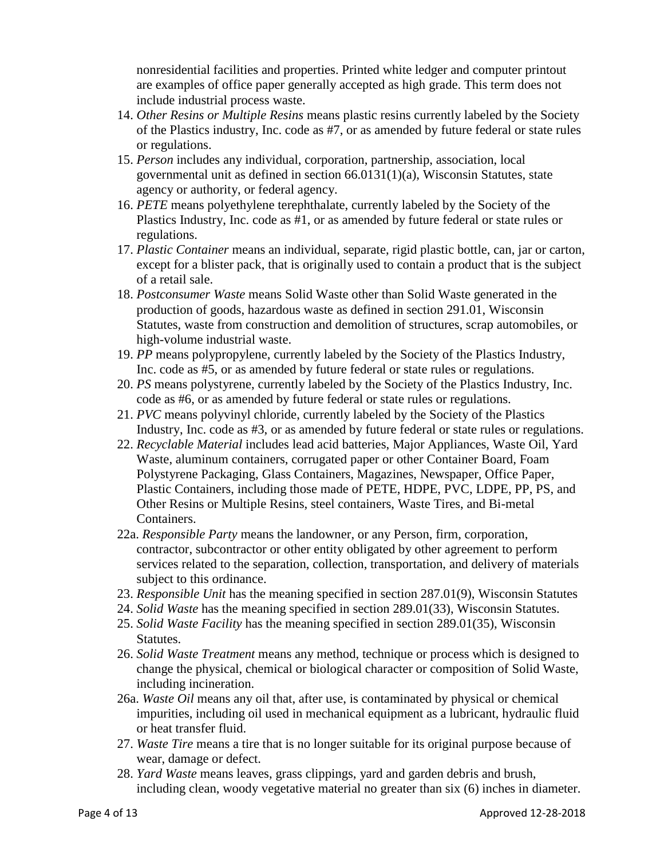nonresidential facilities and properties. Printed white ledger and computer printout are examples of office paper generally accepted as high grade. This term does not include industrial process waste.

- 14. *Other Resins or Multiple Resins* means plastic resins currently labeled by the Society of the Plastics industry, Inc. code as #7, or as amended by future federal or state rules or regulations.
- 15. *Person* includes any individual, corporation, partnership, association, local governmental unit as defined in section 66.0131(1)(a), Wisconsin Statutes, state agency or authority, or federal agency.
- 16. *PETE* means polyethylene terephthalate, currently labeled by the Society of the Plastics Industry, Inc. code as #1, or as amended by future federal or state rules or regulations.
- 17. *Plastic Container* means an individual, separate, rigid plastic bottle, can, jar or carton, except for a blister pack, that is originally used to contain a product that is the subject of a retail sale.
- 18. *Postconsumer Waste* means Solid Waste other than Solid Waste generated in the production of goods, hazardous waste as defined in section 291.01, Wisconsin Statutes, waste from construction and demolition of structures, scrap automobiles, or high-volume industrial waste.
- 19. *PP* means polypropylene, currently labeled by the Society of the Plastics Industry, Inc. code as #5, or as amended by future federal or state rules or regulations.
- 20. *PS* means polystyrene, currently labeled by the Society of the Plastics Industry, Inc. code as #6, or as amended by future federal or state rules or regulations.
- 21. *PVC* means polyvinyl chloride, currently labeled by the Society of the Plastics Industry, Inc. code as #3, or as amended by future federal or state rules or regulations.
- 22. *Recyclable Material* includes lead acid batteries, Major Appliances, Waste Oil, Yard Waste, aluminum containers, corrugated paper or other Container Board, Foam Polystyrene Packaging, Glass Containers, Magazines, Newspaper, Office Paper, Plastic Containers, including those made of PETE, HDPE, PVC, LDPE, PP, PS, and Other Resins or Multiple Resins, steel containers, Waste Tires, and Bi-metal Containers.
- 22a. *Responsible Party* means the landowner, or any Person, firm, corporation, contractor, subcontractor or other entity obligated by other agreement to perform services related to the separation, collection, transportation, and delivery of materials subject to this ordinance.
- 23. *Responsible Unit* has the meaning specified in section 287.01(9), Wisconsin Statutes
- 24. *Solid Waste* has the meaning specified in section 289.01(33), Wisconsin Statutes.
- 25. *Solid Waste Facility* has the meaning specified in section 289.01(35), Wisconsin Statutes.
- 26. *Solid Waste Treatment* means any method, technique or process which is designed to change the physical, chemical or biological character or composition of Solid Waste, including incineration.
- 26a. *Waste Oil* means any oil that, after use, is contaminated by physical or chemical impurities, including oil used in mechanical equipment as a lubricant, hydraulic fluid or heat transfer fluid.
- 27. *Waste Tire* means a tire that is no longer suitable for its original purpose because of wear, damage or defect.
- 28. *Yard Waste* means leaves, grass clippings, yard and garden debris and brush, including clean, woody vegetative material no greater than six (6) inches in diameter.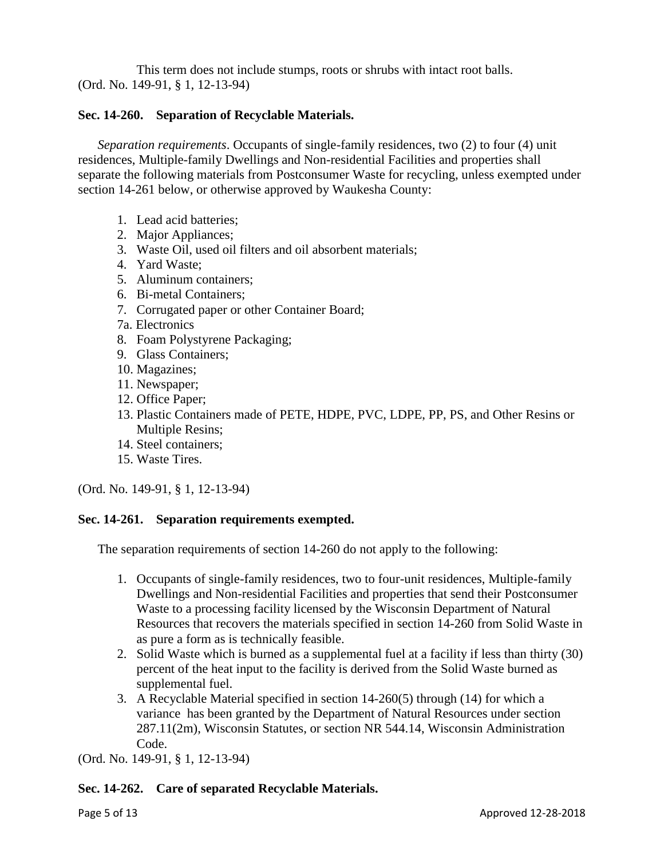This term does not include stumps, roots or shrubs with intact root balls. (Ord. No. 149-91, § 1, 12-13-94)

# **Sec. 14-260. Separation of Recyclable Materials.**

*Separation requirements*. Occupants of single-family residences, two (2) to four (4) unit residences, Multiple-family Dwellings and Non-residential Facilities and properties shall separate the following materials from Postconsumer Waste for recycling, unless exempted under section 14-261 below, or otherwise approved by Waukesha County:

- 1. Lead acid batteries;
- 2. Major Appliances;
- 3. Waste Oil, used oil filters and oil absorbent materials;
- 4. Yard Waste;
- 5. Aluminum containers;
- 6. Bi-metal Containers;
- 7. Corrugated paper or other Container Board;
- 7a. Electronics
- 8. Foam Polystyrene Packaging;
- 9. Glass Containers;
- 10. Magazines;
- 11. Newspaper;
- 12. Office Paper;
- 13. Plastic Containers made of PETE, HDPE, PVC, LDPE, PP, PS, and Other Resins or Multiple Resins;
- 14. Steel containers;
- 15. Waste Tires.

(Ord. No. 149-91, § 1, 12-13-94)

# **Sec. 14-261. Separation requirements exempted.**

The separation requirements of section 14-260 do not apply to the following:

- 1. Occupants of single-family residences, two to four-unit residences, Multiple-family Dwellings and Non-residential Facilities and properties that send their Postconsumer Waste to a processing facility licensed by the Wisconsin Department of Natural Resources that recovers the materials specified in section 14-260 from Solid Waste in as pure a form as is technically feasible.
- 2. Solid Waste which is burned as a supplemental fuel at a facility if less than thirty (30) percent of the heat input to the facility is derived from the Solid Waste burned as supplemental fuel.
- 3. A Recyclable Material specified in section 14-260(5) through (14) for which a variance has been granted by the Department of Natural Resources under section 287.11(2m), Wisconsin Statutes, or section NR 544.14, Wisconsin Administration Code.

(Ord. No. 149-91, § 1, 12-13-94)

# **Sec. 14-262. Care of separated Recyclable Materials.**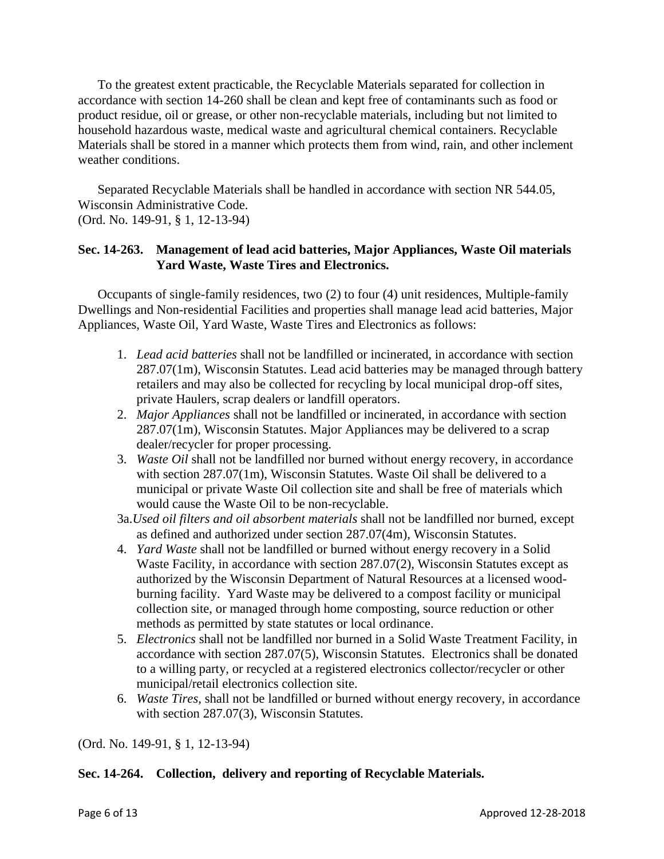To the greatest extent practicable, the Recyclable Materials separated for collection in accordance with section 14-260 shall be clean and kept free of contaminants such as food or product residue, oil or grease, or other non-recyclable materials, including but not limited to household hazardous waste, medical waste and agricultural chemical containers. Recyclable Materials shall be stored in a manner which protects them from wind, rain, and other inclement weather conditions.

Separated Recyclable Materials shall be handled in accordance with section NR 544.05, Wisconsin Administrative Code. (Ord. No. 149-91, § 1, 12-13-94)

# **Sec. 14-263. Management of lead acid batteries, Major Appliances, Waste Oil materials Yard Waste, Waste Tires and Electronics.**

Occupants of single-family residences, two (2) to four (4) unit residences, Multiple-family Dwellings and Non-residential Facilities and properties shall manage lead acid batteries, Major Appliances, Waste Oil, Yard Waste, Waste Tires and Electronics as follows:

- 1. *Lead acid batteries* shall not be landfilled or incinerated, in accordance with section 287.07(1m), Wisconsin Statutes. Lead acid batteries may be managed through battery retailers and may also be collected for recycling by local municipal drop-off sites, private Haulers, scrap dealers or landfill operators.
- 2. *Major Appliances* shall not be landfilled or incinerated, in accordance with section 287.07(1m), Wisconsin Statutes. Major Appliances may be delivered to a scrap dealer/recycler for proper processing.
- 3. *Waste Oil* shall not be landfilled nor burned without energy recovery, in accordance with section 287.07(1m), Wisconsin Statutes. Waste Oil shall be delivered to a municipal or private Waste Oil collection site and shall be free of materials which would cause the Waste Oil to be non-recyclable.
- 3a.*Used oil filters and oil absorbent materials* shall not be landfilled nor burned, except as defined and authorized under section 287.07(4m), Wisconsin Statutes.
- 4. *Yard Waste* shall not be landfilled or burned without energy recovery in a Solid Waste Facility, in accordance with section 287.07(2), Wisconsin Statutes except as authorized by the Wisconsin Department of Natural Resources at a licensed woodburning facility. Yard Waste may be delivered to a compost facility or municipal collection site, or managed through home composting, source reduction or other methods as permitted by state statutes or local ordinance.
- 5. *Electronics* shall not be landfilled nor burned in a Solid Waste Treatment Facility, in accordance with section 287.07(5), Wisconsin Statutes. Electronics shall be donated to a willing party, or recycled at a registered electronics collector/recycler or other municipal/retail electronics collection site.
- 6. *Waste Tires,* shall not be landfilled or burned without energy recovery, in accordance with section 287.07(3), Wisconsin Statutes.

(Ord. No. 149-91, § 1, 12-13-94)

# **Sec. 14-264. Collection, delivery and reporting of Recyclable Materials.**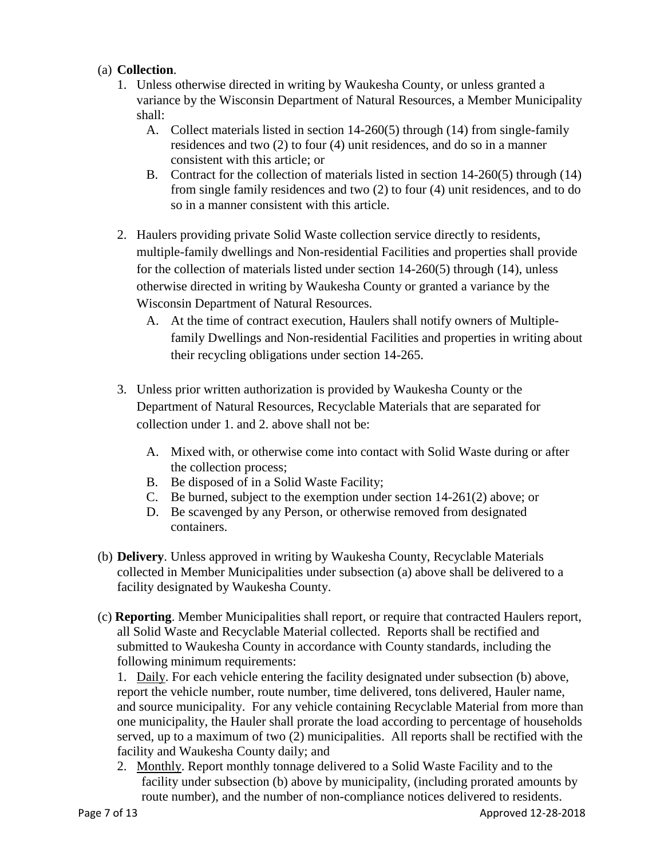# (a) **Collection**.

- 1. Unless otherwise directed in writing by Waukesha County, or unless granted a variance by the Wisconsin Department of Natural Resources, a Member Municipality shall:
	- A. Collect materials listed in section 14-260(5) through (14) from single-family residences and two (2) to four (4) unit residences, and do so in a manner consistent with this article; or
	- B. Contract for the collection of materials listed in section 14-260(5) through (14) from single family residences and two (2) to four (4) unit residences, and to do so in a manner consistent with this article.
- 2. Haulers providing private Solid Waste collection service directly to residents, multiple-family dwellings and Non-residential Facilities and properties shall provide for the collection of materials listed under section 14-260(5) through (14), unless otherwise directed in writing by Waukesha County or granted a variance by the Wisconsin Department of Natural Resources.
	- A. At the time of contract execution, Haulers shall notify owners of Multiplefamily Dwellings and Non-residential Facilities and properties in writing about their recycling obligations under section 14-265.
- 3. Unless prior written authorization is provided by Waukesha County or the Department of Natural Resources, Recyclable Materials that are separated for collection under 1. and 2. above shall not be:
	- A. Mixed with, or otherwise come into contact with Solid Waste during or after the collection process;
	- B. Be disposed of in a Solid Waste Facility;
	- C. Be burned, subject to the exemption under section 14-261(2) above; or
	- D. Be scavenged by any Person, or otherwise removed from designated containers.
- (b) **Delivery**. Unless approved in writing by Waukesha County, Recyclable Materials collected in Member Municipalities under subsection (a) above shall be delivered to a facility designated by Waukesha County.
- (c) **Reporting**. Member Municipalities shall report, or require that contracted Haulers report, all Solid Waste and Recyclable Material collected. Reports shall be rectified and submitted to Waukesha County in accordance with County standards, including the following minimum requirements:

1. Daily. For each vehicle entering the facility designated under subsection (b) above, report the vehicle number, route number, time delivered, tons delivered, Hauler name, and source municipality. For any vehicle containing Recyclable Material from more than one municipality, the Hauler shall prorate the load according to percentage of households served, up to a maximum of two (2) municipalities. All reports shall be rectified with the facility and Waukesha County daily; and

2. Monthly. Report monthly tonnage delivered to a Solid Waste Facility and to the facility under subsection (b) above by municipality, (including prorated amounts by route number), and the number of non-compliance notices delivered to residents.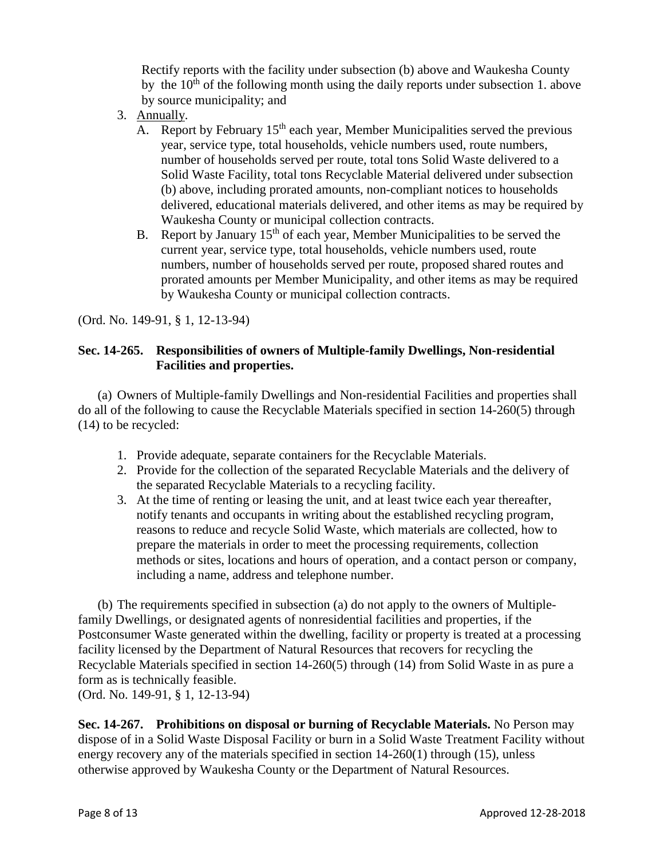Rectify reports with the facility under subsection (b) above and Waukesha County by the  $10^{th}$  of the following month using the daily reports under subsection 1. above by source municipality; and

- 3. Annually.
	- A. Report by February  $15<sup>th</sup>$  each year, Member Municipalities served the previous year, service type, total households, vehicle numbers used, route numbers, number of households served per route, total tons Solid Waste delivered to a Solid Waste Facility, total tons Recyclable Material delivered under subsection (b) above, including prorated amounts, non-compliant notices to households delivered, educational materials delivered, and other items as may be required by Waukesha County or municipal collection contracts.
	- B. Report by January  $15<sup>th</sup>$  of each year, Member Municipalities to be served the current year, service type, total households, vehicle numbers used, route numbers, number of households served per route, proposed shared routes and prorated amounts per Member Municipality, and other items as may be required by Waukesha County or municipal collection contracts.

(Ord. No. 149-91, § 1, 12-13-94)

# **Sec. 14-265. Responsibilities of owners of Multiple-family Dwellings, Non-residential Facilities and properties.**

(a) Owners of Multiple-family Dwellings and Non-residential Facilities and properties shall do all of the following to cause the Recyclable Materials specified in section 14-260(5) through (14) to be recycled:

- 1. Provide adequate, separate containers for the Recyclable Materials.
- 2. Provide for the collection of the separated Recyclable Materials and the delivery of the separated Recyclable Materials to a recycling facility.
- 3. At the time of renting or leasing the unit, and at least twice each year thereafter, notify tenants and occupants in writing about the established recycling program, reasons to reduce and recycle Solid Waste, which materials are collected, how to prepare the materials in order to meet the processing requirements, collection methods or sites, locations and hours of operation, and a contact person or company, including a name, address and telephone number.

(b) The requirements specified in subsection (a) do not apply to the owners of Multiplefamily Dwellings, or designated agents of nonresidential facilities and properties, if the Postconsumer Waste generated within the dwelling, facility or property is treated at a processing facility licensed by the Department of Natural Resources that recovers for recycling the Recyclable Materials specified in section 14-260(5) through (14) from Solid Waste in as pure a form as is technically feasible. (Ord. No. 149-91, § 1, 12-13-94)

**Sec. 14-267. Prohibitions on disposal or burning of Recyclable Materials.** No Person may dispose of in a Solid Waste Disposal Facility or burn in a Solid Waste Treatment Facility without energy recovery any of the materials specified in section 14-260(1) through (15), unless otherwise approved by Waukesha County or the Department of Natural Resources.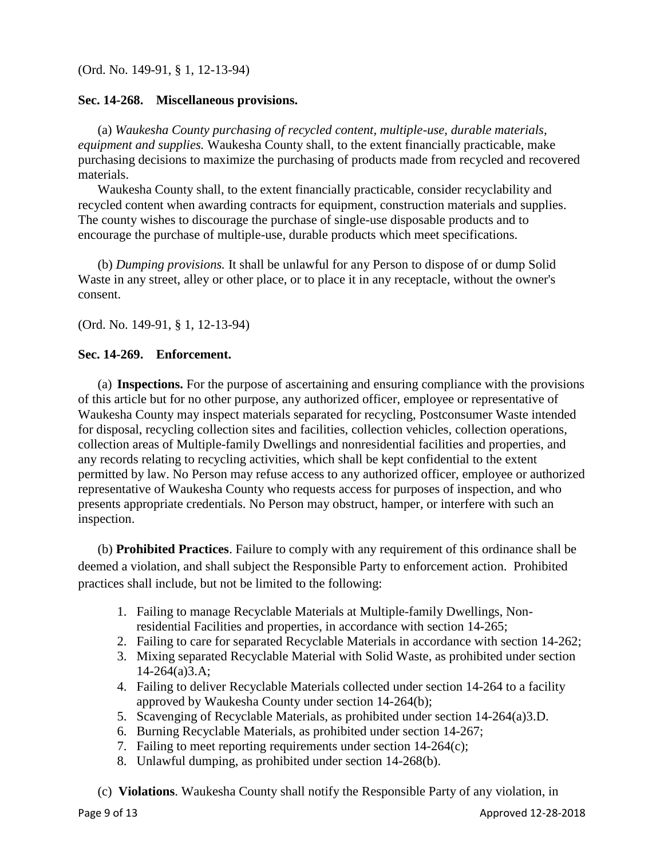(Ord. No. 149-91, § 1, 12-13-94)

#### **Sec. 14-268. Miscellaneous provisions.**

(a) *Waukesha County purchasing of recycled content, multiple-use, durable materials, equipment and supplies.* Waukesha County shall, to the extent financially practicable, make purchasing decisions to maximize the purchasing of products made from recycled and recovered materials.

Waukesha County shall, to the extent financially practicable, consider recyclability and recycled content when awarding contracts for equipment, construction materials and supplies. The county wishes to discourage the purchase of single-use disposable products and to encourage the purchase of multiple-use, durable products which meet specifications.

(b) *Dumping provisions.* It shall be unlawful for any Person to dispose of or dump Solid Waste in any street, alley or other place, or to place it in any receptacle, without the owner's consent.

(Ord. No. 149-91, § 1, 12-13-94)

# **Sec. 14-269. Enforcement.**

(a) **Inspections.** For the purpose of ascertaining and ensuring compliance with the provisions of this article but for no other purpose, any authorized officer, employee or representative of Waukesha County may inspect materials separated for recycling, Postconsumer Waste intended for disposal, recycling collection sites and facilities, collection vehicles, collection operations, collection areas of Multiple-family Dwellings and nonresidential facilities and properties, and any records relating to recycling activities, which shall be kept confidential to the extent permitted by law. No Person may refuse access to any authorized officer, employee or authorized representative of Waukesha County who requests access for purposes of inspection, and who presents appropriate credentials. No Person may obstruct, hamper, or interfere with such an inspection.

(b) **Prohibited Practices**. Failure to comply with any requirement of this ordinance shall be deemed a violation, and shall subject the Responsible Party to enforcement action. Prohibited practices shall include, but not be limited to the following:

- 1. Failing to manage Recyclable Materials at Multiple-family Dwellings, Nonresidential Facilities and properties, in accordance with section 14-265;
- 2. Failing to care for separated Recyclable Materials in accordance with section 14-262;
- 3. Mixing separated Recyclable Material with Solid Waste, as prohibited under section 14-264(a)3.A;
- 4. Failing to deliver Recyclable Materials collected under section 14-264 to a facility approved by Waukesha County under section 14-264(b);
- 5. Scavenging of Recyclable Materials, as prohibited under section 14-264(a)3.D.
- 6. Burning Recyclable Materials, as prohibited under section 14-267;
- 7. Failing to meet reporting requirements under section 14-264(c);
- 8. Unlawful dumping, as prohibited under section 14-268(b).
- (c) **Violations**. Waukesha County shall notify the Responsible Party of any violation, in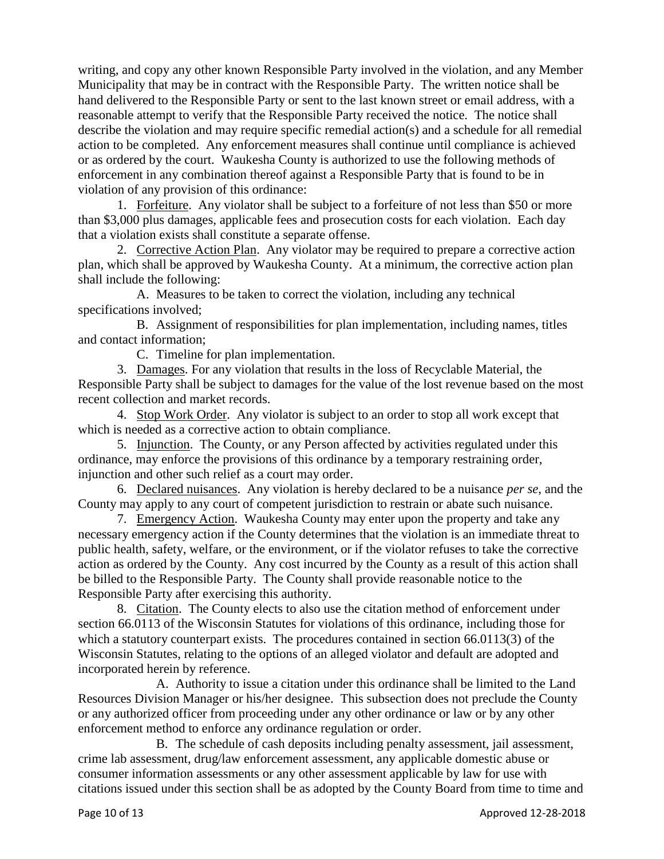writing, and copy any other known Responsible Party involved in the violation, and any Member Municipality that may be in contract with the Responsible Party. The written notice shall be hand delivered to the Responsible Party or sent to the last known street or email address, with a reasonable attempt to verify that the Responsible Party received the notice. The notice shall describe the violation and may require specific remedial action(s) and a schedule for all remedial action to be completed. Any enforcement measures shall continue until compliance is achieved or as ordered by the court. Waukesha County is authorized to use the following methods of enforcement in any combination thereof against a Responsible Party that is found to be in violation of any provision of this ordinance:

1. Forfeiture. Any violator shall be subject to a forfeiture of not less than \$50 or more than \$3,000 plus damages, applicable fees and prosecution costs for each violation. Each day that a violation exists shall constitute a separate offense.

2. Corrective Action Plan. Any violator may be required to prepare a corrective action plan, which shall be approved by Waukesha County. At a minimum, the corrective action plan shall include the following:

A. Measures to be taken to correct the violation, including any technical specifications involved;

B. Assignment of responsibilities for plan implementation, including names, titles and contact information;

C. Timeline for plan implementation.

3. Damages. For any violation that results in the loss of Recyclable Material, the Responsible Party shall be subject to damages for the value of the lost revenue based on the most recent collection and market records.

4. Stop Work Order. Any violator is subject to an order to stop all work except that which is needed as a corrective action to obtain compliance.

5. Injunction. The County, or any Person affected by activities regulated under this ordinance, may enforce the provisions of this ordinance by a temporary restraining order, injunction and other such relief as a court may order.

6. Declared nuisances. Any violation is hereby declared to be a nuisance *per se*, and the County may apply to any court of competent jurisdiction to restrain or abate such nuisance.

7. Emergency Action. Waukesha County may enter upon the property and take any necessary emergency action if the County determines that the violation is an immediate threat to public health, safety, welfare, or the environment, or if the violator refuses to take the corrective action as ordered by the County. Any cost incurred by the County as a result of this action shall be billed to the Responsible Party. The County shall provide reasonable notice to the Responsible Party after exercising this authority.

8. Citation. The County elects to also use the citation method of enforcement under section 66.0113 of the Wisconsin Statutes for violations of this ordinance, including those for which a statutory counterpart exists. The procedures contained in section 66.0113(3) of the Wisconsin Statutes, relating to the options of an alleged violator and default are adopted and incorporated herein by reference.

A. Authority to issue a citation under this ordinance shall be limited to the Land Resources Division Manager or his/her designee. This subsection does not preclude the County or any authorized officer from proceeding under any other ordinance or law or by any other enforcement method to enforce any ordinance regulation or order.

B. The schedule of cash deposits including penalty assessment, jail assessment, crime lab assessment, drug/law enforcement assessment, any applicable domestic abuse or consumer information assessments or any other assessment applicable by law for use with citations issued under this section shall be as adopted by the County Board from time to time and